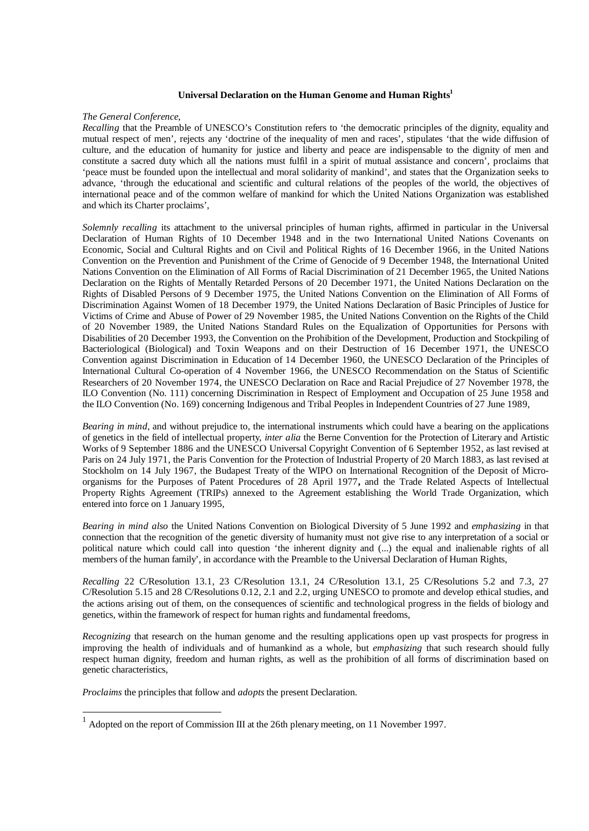### **Universal Declaration on the Human Genome and Human Rights<sup>1</sup>**

#### *The General Conference*,

*Recalling* that the Preamble of UNESCO's Constitution refers to 'the democratic principles of the dignity, equality and mutual respect of men', rejects any 'doctrine of the inequality of men and races', stipulates 'that the wide diffusion of culture, and the education of humanity for justice and liberty and peace are indispensable to the dignity of men and constitute a sacred duty which all the nations must fulfil in a spirit of mutual assistance and concern', proclaims that 'peace must be founded upon the intellectual and moral solidarity of mankind', and states that the Organization seeks to advance, 'through the educational and scientific and cultural relations of the peoples of the world, the objectives of international peace and of the common welfare of mankind for which the United Nations Organization was established and which its Charter proclaims',

*Solemnly recalling* its attachment to the universal principles of human rights, affirmed in particular in the Universal Declaration of Human Rights of 10 December 1948 and in the two International United Nations Covenants on Economic, Social and Cultural Rights and on Civil and Political Rights of 16 December 1966, in the United Nations Convention on the Prevention and Punishment of the Crime of Genocide of 9 December 1948, the International United Nations Convention on the Elimination of All Forms of Racial Discrimination of 21 December 1965, the United Nations Declaration on the Rights of Mentally Retarded Persons of 20 December 1971, the United Nations Declaration on the Rights of Disabled Persons of 9 December 1975, the United Nations Convention on the Elimination of All Forms of Discrimination Against Women of 18 December 1979, the United Nations Declaration of Basic Principles of Justice for Victims of Crime and Abuse of Power of 29 November 1985, the United Nations Convention on the Rights of the Child of 20 November 1989, the United Nations Standard Rules on the Equalization of Opportunities for Persons with Disabilities of 20 December 1993, the Convention on the Prohibition of the Development, Production and Stockpiling of Bacteriological (Biological) and Toxin Weapons and on their Destruction of 16 December 1971, the UNESCO Convention against Discrimination in Education of 14 December 1960, the UNESCO Declaration of the Principles of International Cultural Co-operation of 4 November 1966, the UNESCO Recommendation on the Status of Scientific Researchers of 20 November 1974, the UNESCO Declaration on Race and Racial Prejudice of 27 November 1978, the ILO Convention (No. 111) concerning Discrimination in Respect of Employment and Occupation of 25 June 1958 and the ILO Convention (No. 169) concerning Indigenous and Tribal Peoples in Independent Countries of 27 June 1989,

*Bearing in mind*, and without prejudice to, the international instruments which could have a bearing on the applications of genetics in the field of intellectual property, *inter alia* the Berne Convention for the Protection of Literary and Artistic Works of 9 September 1886 and the UNESCO Universal Copyright Convention of 6 September 1952, as last revised at Paris on 24 July 1971, the Paris Convention for the Protection of Industrial Property of 20 March 1883, as last revised at Stockholm on 14 July 1967, the Budapest Treaty of the WIPO on International Recognition of the Deposit of Microorganisms for the Purposes of Patent Procedures of 28 April 1977**,** and the Trade Related Aspects of Intellectual Property Rights Agreement (TRIPs) annexed to the Agreement establishing the World Trade Organization, which entered into force on 1 January 1995,

*Bearing in mind also* the United Nations Convention on Biological Diversity of 5 June 1992 and *emphasizing* in that connection that the recognition of the genetic diversity of humanity must not give rise to any interpretation of a social or political nature which could call into question 'the inherent dignity and (...) the equal and inalienable rights of all members of the human family', in accordance with the Preamble to the Universal Declaration of Human Rights,

*Recalling* 22 C/Resolution 13.1, 23 C/Resolution 13.1, 24 C/Resolution 13.1, 25 C/Resolutions 5.2 and 7.3, 27 C/Resolution 5.15 and 28 C/Resolutions 0.12, 2.1 and 2.2, urging UNESCO to promote and develop ethical studies, and the actions arising out of them, on the consequences of scientific and technological progress in the fields of biology and genetics, within the framework of respect for human rights and fundamental freedoms,

*Recognizing* that research on the human genome and the resulting applications open up vast prospects for progress in improving the health of individuals and of humankind as a whole, but *emphasizing* that such research should fully respect human dignity, freedom and human rights, as well as the prohibition of all forms of discrimination based on genetic characteristics,

*Proclaims* the principles that follow and *adopts* the present Declaration.

<sup>1</sup> Adopted on the report of Commission III at the 26th plenary meeting, on 11 November 1997.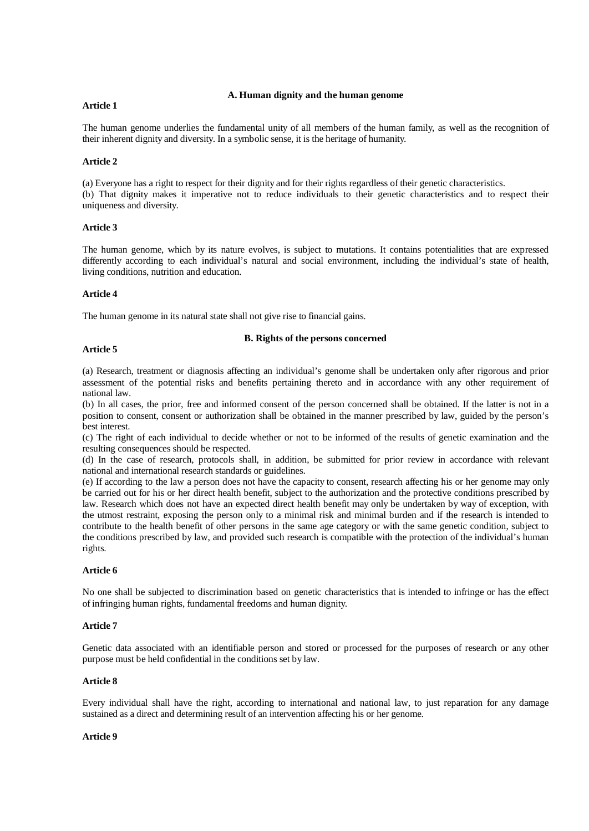### **A. Human dignity and the human genome**

## **Article 1**

The human genome underlies the fundamental unity of all members of the human family, as well as the recognition of their inherent dignity and diversity. In a symbolic sense, it is the heritage of humanity.

# **Article 2**

(a) Everyone has a right to respect for their dignity and for their rights regardless of their genetic characteristics.

(b) That dignity makes it imperative not to reduce individuals to their genetic characteristics and to respect their uniqueness and diversity.

# **Article 3**

The human genome, which by its nature evolves, is subject to mutations. It contains potentialities that are expressed differently according to each individual's natural and social environment, including the individual's state of health, living conditions, nutrition and education.

# **Article 4**

The human genome in its natural state shall not give rise to financial gains.

## **B. Rights of the persons concerned**

# **Article 5**

(a) Research, treatment or diagnosis affecting an individual's genome shall be undertaken only after rigorous and prior assessment of the potential risks and benefits pertaining thereto and in accordance with any other requirement of national law.

(b) In all cases, the prior, free and informed consent of the person concerned shall be obtained. If the latter is not in a position to consent, consent or authorization shall be obtained in the manner prescribed by law, guided by the person's best interest.

(c) The right of each individual to decide whether or not to be informed of the results of genetic examination and the resulting consequences should be respected.

(d) In the case of research, protocols shall, in addition, be submitted for prior review in accordance with relevant national and international research standards or guidelines.

(e) If according to the law a person does not have the capacity to consent, research affecting his or her genome may only be carried out for his or her direct health benefit, subject to the authorization and the protective conditions prescribed by law. Research which does not have an expected direct health benefit may only be undertaken by way of exception, with the utmost restraint, exposing the person only to a minimal risk and minimal burden and if the research is intended to contribute to the health benefit of other persons in the same age category or with the same genetic condition, subject to the conditions prescribed by law, and provided such research is compatible with the protection of the individual's human rights.

## **Article 6**

No one shall be subjected to discrimination based on genetic characteristics that is intended to infringe or has the effect of infringing human rights, fundamental freedoms and human dignity.

## **Article 7**

Genetic data associated with an identifiable person and stored or processed for the purposes of research or any other purpose must be held confidential in the conditions set by law.

## **Article 8**

Every individual shall have the right, according to international and national law, to just reparation for any damage sustained as a direct and determining result of an intervention affecting his or her genome.

## **Article 9**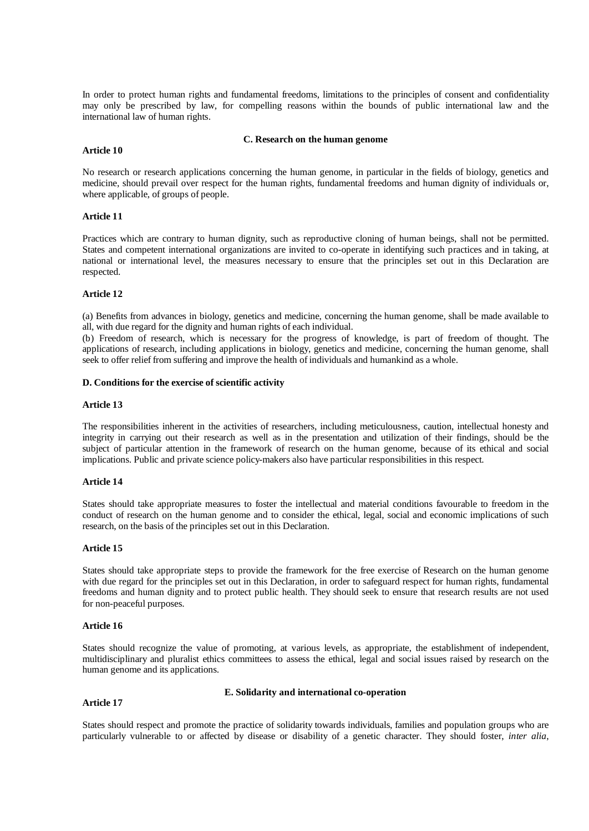In order to protect human rights and fundamental freedoms, limitations to the principles of consent and confidentiality may only be prescribed by law, for compelling reasons within the bounds of public international law and the international law of human rights.

#### **C. Research on the human genome**

#### **Article 10**

No research or research applications concerning the human genome, in particular in the fields of biology, genetics and medicine, should prevail over respect for the human rights, fundamental freedoms and human dignity of individuals or, where applicable, of groups of people.

### **Article 11**

Practices which are contrary to human dignity, such as reproductive cloning of human beings, shall not be permitted. States and competent international organizations are invited to co-operate in identifying such practices and in taking, at national or international level, the measures necessary to ensure that the principles set out in this Declaration are respected.

### **Article 12**

(a) Benefits from advances in biology, genetics and medicine, concerning the human genome, shall be made available to all, with due regard for the dignity and human rights of each individual.

(b) Freedom of research, which is necessary for the progress of knowledge, is part of freedom of thought. The applications of research, including applications in biology, genetics and medicine, concerning the human genome, shall seek to offer relief from suffering and improve the health of individuals and humankind as a whole.

### **D. Conditions for the exercise of scientific activity**

#### **Article 13**

The responsibilities inherent in the activities of researchers, including meticulousness, caution, intellectual honesty and integrity in carrying out their research as well as in the presentation and utilization of their findings, should be the subject of particular attention in the framework of research on the human genome, because of its ethical and social implications. Public and private science policy-makers also have particular responsibilities in this respect.

#### **Article 14**

States should take appropriate measures to foster the intellectual and material conditions favourable to freedom in the conduct of research on the human genome and to consider the ethical, legal, social and economic implications of such research, on the basis of the principles set out in this Declaration.

### **Article 15**

States should take appropriate steps to provide the framework for the free exercise of Research on the human genome with due regard for the principles set out in this Declaration, in order to safeguard respect for human rights, fundamental freedoms and human dignity and to protect public health. They should seek to ensure that research results are not used for non-peaceful purposes.

#### **Article 16**

States should recognize the value of promoting, at various levels, as appropriate, the establishment of independent, multidisciplinary and pluralist ethics committees to assess the ethical, legal and social issues raised by research on the human genome and its applications.

#### **Article 17**

### **E. Solidarity and international co-operation**

States should respect and promote the practice of solidarity towards individuals, families and population groups who are particularly vulnerable to or affected by disease or disability of a genetic character. They should foster, *inter alia*,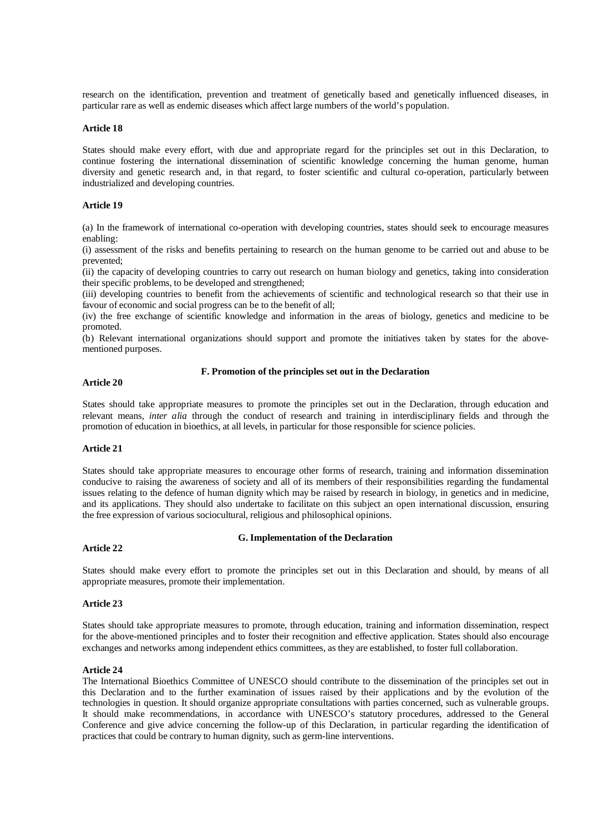research on the identification, prevention and treatment of genetically based and genetically influenced diseases, in particular rare as well as endemic diseases which affect large numbers of the world's population.

#### **Article 18**

States should make every effort, with due and appropriate regard for the principles set out in this Declaration, to continue fostering the international dissemination of scientific knowledge concerning the human genome, human diversity and genetic research and, in that regard, to foster scientific and cultural co-operation, particularly between industrialized and developing countries.

#### **Article 19**

(a) In the framework of international co-operation with developing countries, states should seek to encourage measures enabling:

(i) assessment of the risks and benefits pertaining to research on the human genome to be carried out and abuse to be prevented;

(ii) the capacity of developing countries to carry out research on human biology and genetics, taking into consideration their specific problems, to be developed and strengthened;

(iii) developing countries to benefit from the achievements of scientific and technological research so that their use in favour of economic and social progress can be to the benefit of all;

(iv) the free exchange of scientific knowledge and information in the areas of biology, genetics and medicine to be promoted.

(b) Relevant international organizations should support and promote the initiatives taken by states for the abovementioned purposes.

#### **F. Promotion of the principles set out in the Declaration**

## **Article 20**

States should take appropriate measures to promote the principles set out in the Declaration, through education and relevant means, *inter alia* through the conduct of research and training in interdisciplinary fields and through the promotion of education in bioethics, at all levels, in particular for those responsible for science policies.

#### **Article 21**

States should take appropriate measures to encourage other forms of research, training and information dissemination conducive to raising the awareness of society and all of its members of their responsibilities regarding the fundamental issues relating to the defence of human dignity which may be raised by research in biology, in genetics and in medicine, and its applications. They should also undertake to facilitate on this subject an open international discussion, ensuring the free expression of various sociocultural, religious and philosophical opinions.

### **G. Implementation of the Declaration**

#### **Article 22**

States should make every effort to promote the principles set out in this Declaration and should, by means of all appropriate measures, promote their implementation.

#### **Article 23**

States should take appropriate measures to promote, through education, training and information dissemination, respect for the above-mentioned principles and to foster their recognition and effective application. States should also encourage exchanges and networks among independent ethics committees, as they are established, to foster full collaboration.

#### **Article 24**

The International Bioethics Committee of UNESCO should contribute to the dissemination of the principles set out in this Declaration and to the further examination of issues raised by their applications and by the evolution of the technologies in question. It should organize appropriate consultations with parties concerned, such as vulnerable groups. It should make recommendations, in accordance with UNESCO's statutory procedures, addressed to the General Conference and give advice concerning the follow-up of this Declaration, in particular regarding the identification of practices that could be contrary to human dignity, such as germ-line interventions.